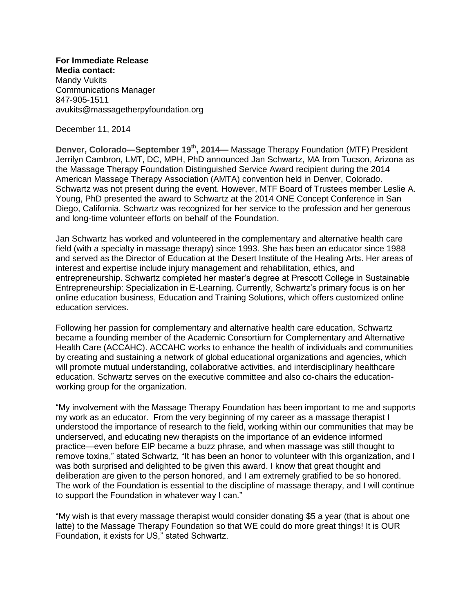**For Immediate Release Media contact:**  Mandy Vukits Communications Manager 847-905-1511 avukits@massagetherpyfoundation.org

December 11, 2014

**Denver, Colorado—September 19th, 2014—** Massage Therapy Foundation (MTF) President Jerrilyn Cambron, LMT, DC, MPH, PhD announced Jan Schwartz, MA from Tucson, Arizona as the Massage Therapy Foundation Distinguished Service Award recipient during the 2014 American Massage Therapy Association (AMTA) convention held in Denver, Colorado. Schwartz was not present during the event. However, MTF Board of Trustees member Leslie A. Young, PhD presented the award to Schwartz at the 2014 ONE Concept Conference in San Diego, California. Schwartz was recognized for her service to the profession and her generous and long-time volunteer efforts on behalf of the Foundation.

Jan Schwartz has worked and volunteered in the complementary and alternative health care field (with a specialty in massage therapy) since 1993. She has been an educator since 1988 and served as the Director of Education at the Desert Institute of the Healing Arts. Her areas of interest and expertise include injury management and rehabilitation, ethics, and entrepreneurship. Schwartz completed her master's degree at Prescott College in Sustainable Entrepreneurship: Specialization in E-Learning. Currently, Schwartz's primary focus is on her online education business, Education and Training Solutions, which offers customized online education services.

Following her passion for complementary and alternative health care education, Schwartz became a founding member of the Academic Consortium for Complementary and Alternative Health Care (ACCAHC). ACCAHC works to enhance the health of individuals and communities by creating and sustaining a network of global educational organizations and agencies, which will promote mutual understanding, collaborative activities, and interdisciplinary healthcare education. Schwartz serves on the executive committee and also co-chairs the educationworking group for the organization.

"My involvement with the Massage Therapy Foundation has been important to me and supports my work as an educator. From the very beginning of my career as a massage therapist I understood the importance of research to the field, working within our communities that may be underserved, and educating new therapists on the importance of an evidence informed practice—even before EIP became a buzz phrase, and when massage was still thought to remove toxins," stated Schwartz, "It has been an honor to volunteer with this organization, and I was both surprised and delighted to be given this award. I know that great thought and deliberation are given to the person honored, and I am extremely gratified to be so honored. The work of the Foundation is essential to the discipline of massage therapy, and I will continue to support the Foundation in whatever way I can."

"My wish is that every massage therapist would consider donating \$5 a year (that is about one latte) to the Massage Therapy Foundation so that WE could do more great things! It is OUR Foundation, it exists for US," stated Schwartz.